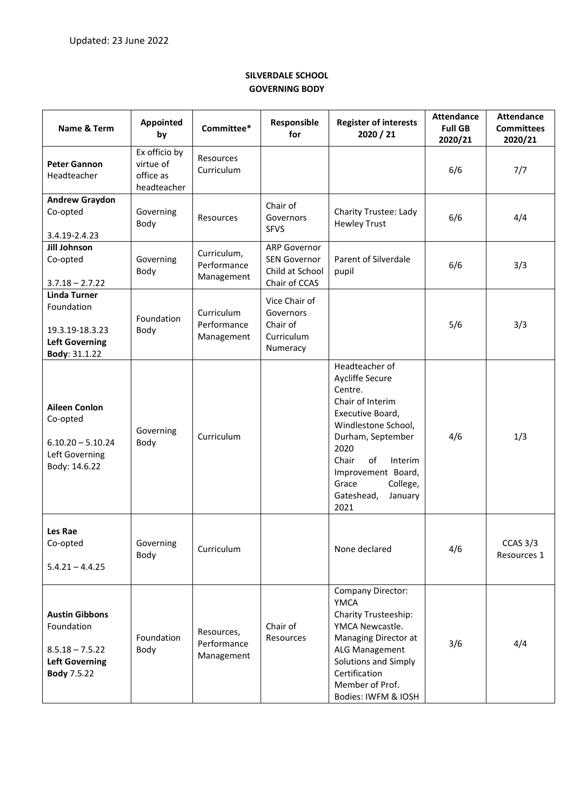## **SILVERDALE SCHOOL GOVERNING BODY**

| Name & Term                                                                                             | Appointed<br>by                                        | Committee*                               | Responsible<br>for                                                             | <b>Register of interests</b><br>2020 / 21                                                                                                                                                                                                      | <b>Attendance</b><br><b>Full GB</b><br>2020/21 | <b>Attendance</b><br><b>Committees</b><br>2020/21 |
|---------------------------------------------------------------------------------------------------------|--------------------------------------------------------|------------------------------------------|--------------------------------------------------------------------------------|------------------------------------------------------------------------------------------------------------------------------------------------------------------------------------------------------------------------------------------------|------------------------------------------------|---------------------------------------------------|
| <b>Peter Gannon</b><br>Headteacher                                                                      | Ex officio by<br>virtue of<br>office as<br>headteacher | <b>Resources</b><br>Curriculum           |                                                                                |                                                                                                                                                                                                                                                | 6/6                                            | 7/7                                               |
| <b>Andrew Graydon</b><br>Co-opted<br>3.4.19-2.4.23                                                      | Governing<br>Body                                      | Resources                                | Chair of<br>Governors<br><b>SFVS</b>                                           | <b>Charity Trustee: Lady</b><br><b>Hewley Trust</b>                                                                                                                                                                                            | 6/6                                            | 4/4                                               |
| Jill Johnson<br>Co-opted<br>$3.7.18 - 2.7.22$                                                           | Governing<br>Body                                      | Curriculum,<br>Performance<br>Management | <b>ARP Governor</b><br><b>SEN Governor</b><br>Child at School<br>Chair of CCAS | Parent of Silverdale<br>pupil                                                                                                                                                                                                                  | 6/6                                            | 3/3                                               |
| <b>Linda Turner</b><br>Foundation<br>19.3.19-18.3.23<br><b>Left Governing</b><br>Body: 31.1.22          | Foundation<br>Body                                     | Curriculum<br>Performance<br>Management  | Vice Chair of<br>Governors<br>Chair of<br>Curriculum<br>Numeracy               |                                                                                                                                                                                                                                                | 5/6                                            | 3/3                                               |
| <b>Aileen Conlon</b><br>Co-opted<br>$6.10.20 - 5.10.24$<br>Left Governing<br>Body: 14.6.22              | Governing<br>Body                                      | Curriculum                               |                                                                                | Headteacher of<br>Aycliffe Secure<br>Centre.<br>Chair of Interim<br>Executive Board,<br>Windlestone School,<br>Durham, September<br>2020<br>of<br>Chair<br>Interim<br>Improvement Board,<br>Grace<br>College,<br>Gateshead,<br>January<br>2021 | 4/6                                            | 1/3                                               |
| Les Rae<br>Co-opted<br>$5.4.21 - 4.4.25$                                                                | Governing<br>Body                                      | Curriculum                               |                                                                                | None declared                                                                                                                                                                                                                                  | 4/6                                            | CCAS $3/3$<br>Resources 1                         |
| <b>Austin Gibbons</b><br>Foundation<br>$8.5.18 - 7.5.22$<br><b>Left Governing</b><br><b>Body 7.5.22</b> | Foundation<br>Body                                     | Resources,<br>Performance<br>Management  | Chair of<br>Resources                                                          | <b>Company Director:</b><br><b>YMCA</b><br><b>Charity Trusteeship:</b><br>YMCA Newcastle.<br>Managing Director at<br>ALG Management<br>Solutions and Simply<br>Certification<br>Member of Prof.<br>Bodies: IWFM & IOSH                         | 3/6                                            | 4/4                                               |